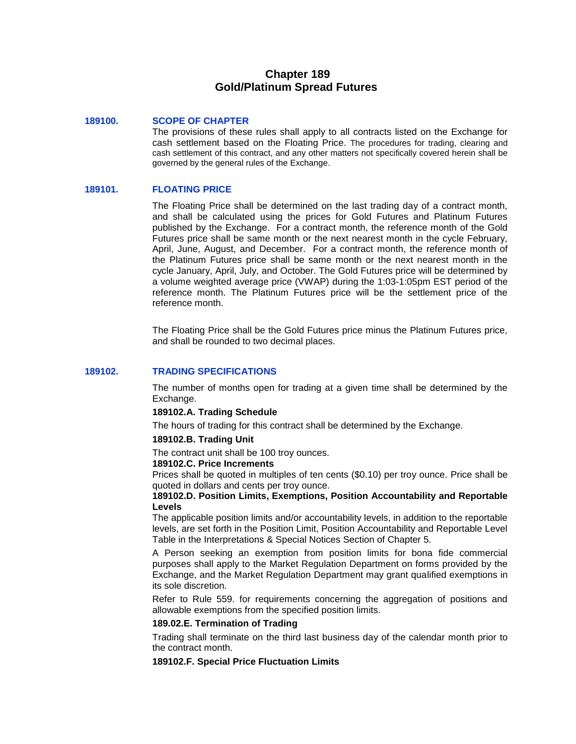# **Chapter 189 Gold/Platinum Spread Futures**

## **189100. SCOPE OF CHAPTER**

The provisions of these rules shall apply to all contracts listed on the Exchange for cash settlement based on the Floating Price. The procedures for trading, clearing and cash settlement of this contract, and any other matters not specifically covered herein shall be governed by the general rules of the Exchange.

# **189101. FLOATING PRICE**

The Floating Price shall be determined on the last trading day of a contract month, and shall be calculated using the prices for Gold Futures and Platinum Futures published by the Exchange. For a contract month, the reference month of the Gold Futures price shall be same month or the next nearest month in the cycle February, April, June, August, and December. For a contract month, the reference month of the Platinum Futures price shall be same month or the next nearest month in the cycle January, April, July, and October. The Gold Futures price will be determined by a volume weighted average price (VWAP) during the 1:03-1:05pm EST period of the reference month. The Platinum Futures price will be the settlement price of the reference month.

The Floating Price shall be the Gold Futures price minus the Platinum Futures price, and shall be rounded to two decimal places.

# **189102. TRADING SPECIFICATIONS**

The number of months open for trading at a given time shall be determined by the Exchange.

### **189102.A. Trading Schedule**

The hours of trading for this contract shall be determined by the Exchange.

### **189102.B. Trading Unit**

The contract unit shall be 100 troy ounces.

#### **189102.C. Price Increments**

Prices shall be quoted in multiples of ten cents (\$0.10) per troy ounce. Price shall be quoted in dollars and cents per troy ounce.

### **189102.D. Position Limits, Exemptions, Position Accountability and Reportable Levels**

The applicable position limits and/or accountability levels, in addition to the reportable levels, are set forth in the Position Limit, Position Accountability and Reportable Level Table in the Interpretations & Special Notices Section of Chapter 5.

A Person seeking an exemption from position limits for bona fide commercial purposes shall apply to the Market Regulation Department on forms provided by the Exchange, and the Market Regulation Department may grant qualified exemptions in its sole discretion.

Refer to Rule 559. for requirements concerning the aggregation of positions and allowable exemptions from the specified position limits.

## **189.02.E. Termination of Trading**

Trading shall terminate on the third last business day of the calendar month prior to the contract month.

# **189102.F. Special Price Fluctuation Limits**